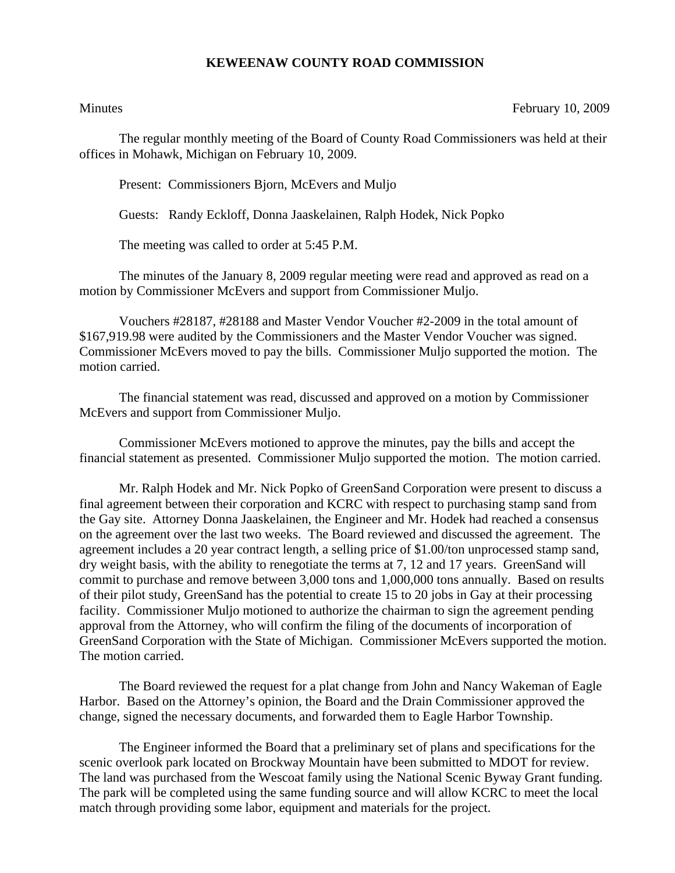## **KEWEENAW COUNTY ROAD COMMISSION**

Minutes February 10, 2009

The regular monthly meeting of the Board of County Road Commissioners was held at their offices in Mohawk, Michigan on February 10, 2009.

Present: Commissioners Bjorn, McEvers and Muljo

Guests: Randy Eckloff, Donna Jaaskelainen, Ralph Hodek, Nick Popko

The meeting was called to order at 5:45 P.M.

 The minutes of the January 8, 2009 regular meeting were read and approved as read on a motion by Commissioner McEvers and support from Commissioner Muljo.

 Vouchers #28187, #28188 and Master Vendor Voucher #2-2009 in the total amount of \$167,919.98 were audited by the Commissioners and the Master Vendor Voucher was signed. Commissioner McEvers moved to pay the bills. Commissioner Muljo supported the motion. The motion carried.

 The financial statement was read, discussed and approved on a motion by Commissioner McEvers and support from Commissioner Muljo.

Commissioner McEvers motioned to approve the minutes, pay the bills and accept the financial statement as presented. Commissioner Muljo supported the motion. The motion carried.

Mr. Ralph Hodek and Mr. Nick Popko of GreenSand Corporation were present to discuss a final agreement between their corporation and KCRC with respect to purchasing stamp sand from the Gay site. Attorney Donna Jaaskelainen, the Engineer and Mr. Hodek had reached a consensus on the agreement over the last two weeks. The Board reviewed and discussed the agreement. The agreement includes a 20 year contract length, a selling price of \$1.00/ton unprocessed stamp sand, dry weight basis, with the ability to renegotiate the terms at 7, 12 and 17 years. GreenSand will commit to purchase and remove between 3,000 tons and 1,000,000 tons annually. Based on results of their pilot study, GreenSand has the potential to create 15 to 20 jobs in Gay at their processing facility. Commissioner Muljo motioned to authorize the chairman to sign the agreement pending approval from the Attorney, who will confirm the filing of the documents of incorporation of GreenSand Corporation with the State of Michigan. Commissioner McEvers supported the motion. The motion carried.

The Board reviewed the request for a plat change from John and Nancy Wakeman of Eagle Harbor. Based on the Attorney's opinion, the Board and the Drain Commissioner approved the change, signed the necessary documents, and forwarded them to Eagle Harbor Township.

The Engineer informed the Board that a preliminary set of plans and specifications for the scenic overlook park located on Brockway Mountain have been submitted to MDOT for review. The land was purchased from the Wescoat family using the National Scenic Byway Grant funding. The park will be completed using the same funding source and will allow KCRC to meet the local match through providing some labor, equipment and materials for the project.